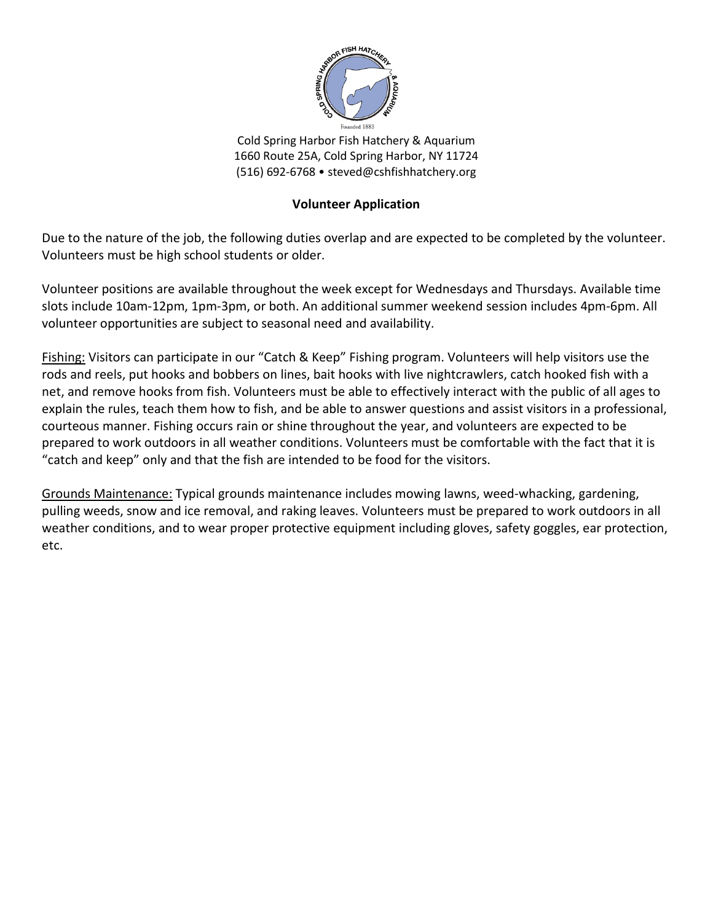

Cold Spring Harbor Fish Hatchery & Aquarium 1660 Route 25A, Cold Spring Harbor, NY 11724 (516) 692-6768 • steved@cshfishhatchery.org

## **Volunteer Application**

Due to the nature of the job, the following duties overlap and are expected to be completed by the volunteer. Volunteers must be high school students or older.

Volunteer positions are available throughout the week except for Wednesdays and Thursdays. Available time slots include 10am-12pm, 1pm-3pm, or both. An additional summer weekend session includes 4pm-6pm. All volunteer opportunities are subject to seasonal need and availability.

Fishing: Visitors can participate in our "Catch & Keep" Fishing program. Volunteers will help visitors use the rods and reels, put hooks and bobbers on lines, bait hooks with live nightcrawlers, catch hooked fish with a net, and remove hooks from fish. Volunteers must be able to effectively interact with the public of all ages to explain the rules, teach them how to fish, and be able to answer questions and assist visitors in a professional, courteous manner. Fishing occurs rain or shine throughout the year, and volunteers are expected to be prepared to work outdoors in all weather conditions. Volunteers must be comfortable with the fact that it is "catch and keep" only and that the fish are intended to be food for the visitors.

Grounds Maintenance: Typical grounds maintenance includes mowing lawns, weed-whacking, gardening, pulling weeds, snow and ice removal, and raking leaves. Volunteers must be prepared to work outdoors in all weather conditions, and to wear proper protective equipment including gloves, safety goggles, ear protection, etc.